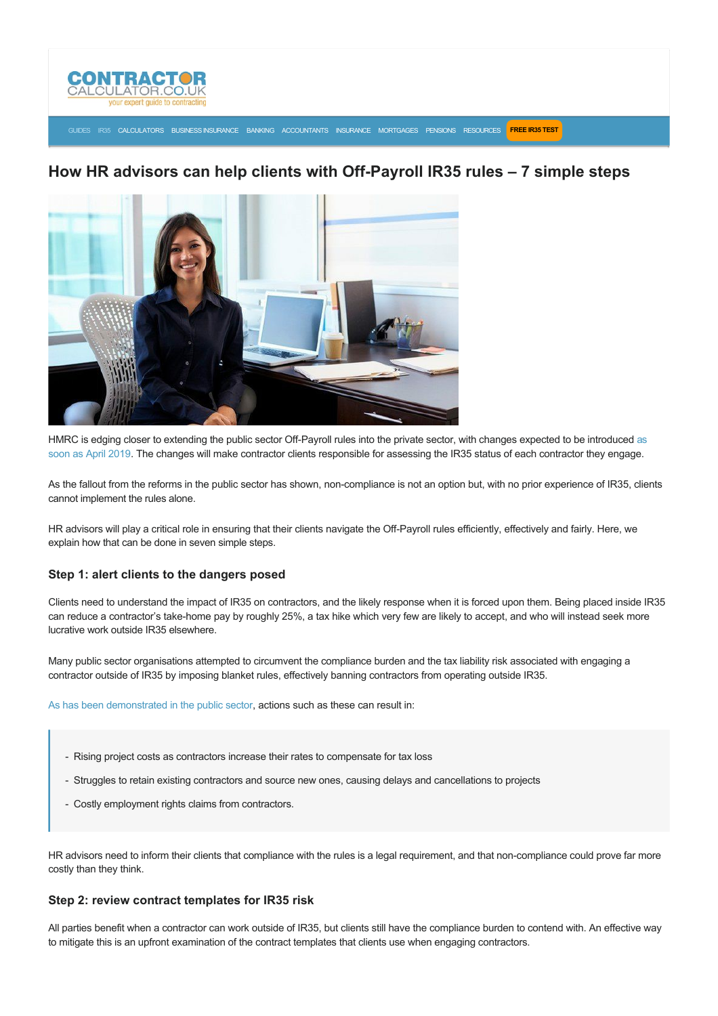

## [GUIDES](https://www.contractorcalculator.co.uk/articles.aspx) [IR35](https://www.contractorcalculator.co.uk/ir35.aspx) [CALCULATORS](https://www.contractorcalculator.co.uk/calculators.aspx) [BUSINESS INSURANCE](https://www.contractorcalculator.co.uk/contractor_insurances.aspx) [BANKING](https://www.contractorcalculator.co.uk/contractor_banking.aspx) [ACCOUNTANTS](https://www.contractorcalculator.co.uk/contractor_accountant_services.aspx) [INSURANCE](https://www.contractorcalculator.co.uk/insurance.aspx) [MORTGAGES](https://www.contractorcalculator.co.uk/contractor_mortgages.aspx) [PENSIONS](https://www.contractorcalculator.co.uk/contractor_pensions.aspx) [RESOURCES](https://www.contractorcalculator.co.uk/contractor_resources.aspx) **[FREE IR35 TEST](https://www.ir35testing.co.uk/TakeTheTest)**

# How HR advisors can help clients with Off-Payroll IR35 rules - 7 simple steps



HMRC is edging closer to extending the public sector Off-Payroll rules into the private sector, with changes expected to be introduced as soon as April 2019. The changes will make contractor clients responsible for assessing the IR35 status of each contractor they engage.

As the fallout from the reforms in the public sector has shown, non-compliance is not an option but, with no prior experience of IR35, clients cannot implement the rules alone.

HR advisors will play a critical role in ensuring that their clients navigate the Off-Payroll rules efficiently, effectively and fairly. Here, we explain how that can be done in seven simple steps.

## **Step 1: alert clients to the dangers posed**

Clients need to understand the impact of IR35 on contractors, and the likely response when it is forced upon them. Being placed inside IR35 can reduce a contractor's take-home pay by roughly 25%, a tax hike which very few are likely to accept, and who will instead seek more lucrative work outside IR35 elsewhere.

Many public sector organisations attempted to circumvent the compliance burden and the tax liability risk associated with engaging a contractor outside of IR35 by imposing blanket rules, effectively banning contractors from operating outside IR35.

[As has been demonstrated in the public sector](https://www.contractorcalculator.co.uk/public_sector_ir35_reforms_survey_projects_536410_news.aspx), actions such as these can result in:

- Rising project costs as contractors increase their rates to compensate for tax loss
- Struggles to retain existing contractors and source new ones, causing delays and cancellations to projects
- Costly employment rights claims from contractors.

HR advisors need to inform their clients that compliance with the rules is a legal requirement, and that non-compliance could prove far more costly than they think.

## **Step 2: review contract templates for IR35 risk**

All parties benefit when a contractor can work outside of IR35, but clients still have the compliance burden to contend with. An effective way to mitigate this is an upfront examination of the contract templates that clients use when engaging contractors.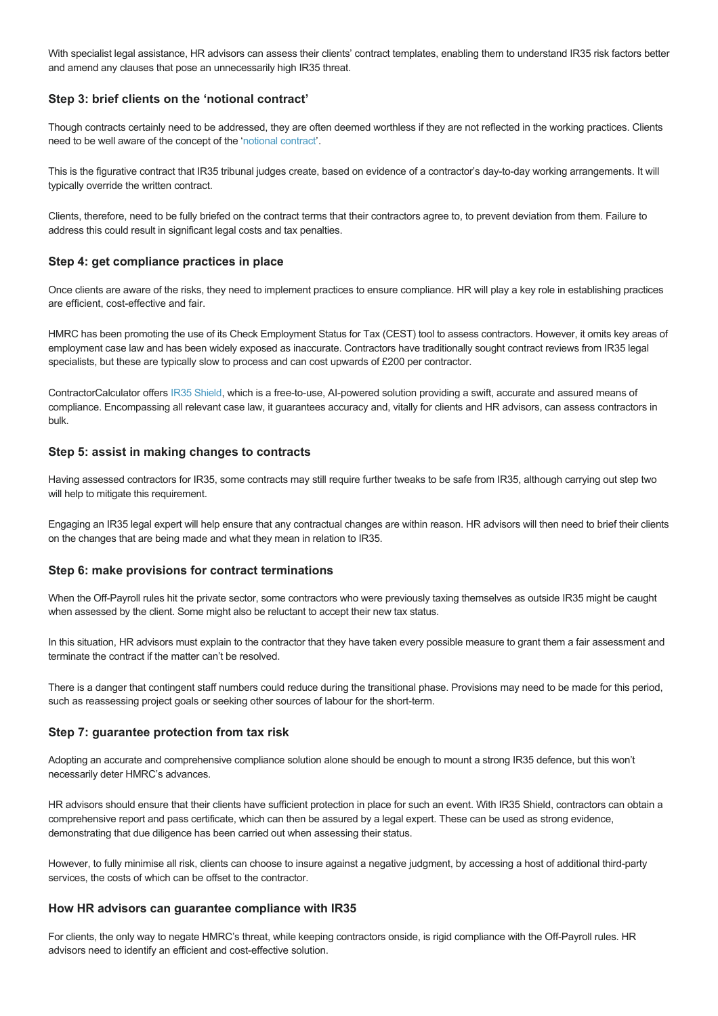With specialist legal assistance, HR advisors can assess their clients' contract templates, enabling them to understand IR35 risk factors better and amend any clauses that pose an unnecessarily high IR35 threat.

# **Step 3: brief clients on the 'notional contract'**

Though contracts certainly need to be addressed, they are often deemed worthless if they are not reflected in the working practices. Clients need to be well aware of the concept of the ['notional contract'](https://www.contractorcalculator.co.uk/contractors_ir35_compliant_contracts.aspx).

This is the figurative contract that IR35 tribunal judges create, based on evidence of a contractor's day-to-day working arrangements. It will typically override the written contract.

Clients, therefore, need to be fully briefed on the contract terms that their contractors agree to, to prevent deviation from them. Failure to address this could result in significant legal costs and tax penalties.

## **Step 4: get compliance practices in place**

Once clients are aware of the risks, they need to implement practices to ensure compliance. HR will play a key role in establishing practices are efficient, cost-effective and fair.

HMRC has been promoting the use of its Check Employment Status for Tax (CEST) tool to assess contractors. However, it omits key areas of employment case law and has been widely exposed as inaccurate. Contractors have traditionally sought contract reviews from IR35 legal specialists, but these are typically slow to process and can cost upwards of £200 per contractor.

ContractorCalculator offers [IR35 Shield,](https://www.ir35testing.co.uk/IR35Shield) which is a free-to-use, AI-powered solution providing a swift, accurate and assured means of compliance. Encompassing all relevant case law, it guarantees accuracy and, vitally for clients and HR advisors, can assess contractors in bulk.

# **Step 5: assist in making changes to contracts**

Having assessed contractors for IR35, some contracts may still require further tweaks to be safe from IR35, although carrying out step two will help to mitigate this requirement.

Engaging an IR35 legal expert will help ensure that any contractual changes are within reason. HR advisors will then need to brief their clients on the changes that are being made and what they mean in relation to IR35.

## **Step 6: make provisions for contract terminations**

When the Off-Payroll rules hit the private sector, some contractors who were previously taxing themselves as outside IR35 might be caught when assessed by the client. Some might also be reluctant to accept their new tax status.

In this situation, HR advisors must explain to the contractor that they have taken every possible measure to grant them a fair assessment and terminate the contract if the matter can't be resolved.

There is a danger that contingent staff numbers could reduce during the transitional phase. Provisions may need to be made for this period, such as reassessing project goals or seeking other sources of labour for the short-term.

## **Step 7: guarantee protection from tax risk**

Adopting an accurate and comprehensive compliance solution alone should be enough to mount a strong IR35 defence, but this won't necessarily deter HMRC's advances.

HR advisors should ensure that their clients have sufficient protection in place for such an event. With IR35 Shield, contractors can obtain a comprehensive report and pass certificate, which can then be assured by a legal expert. These can be used as strong evidence, demonstrating that due diligence has been carried out when assessing their status.

However, to fully minimise all risk, clients can choose to insure against a negative judgment, by accessing a host of additional third-party services, the costs of which can be offset to the contractor.

## **How HR advisors can guarantee compliance with IR35**

For clients, the only way to negate HMRC's threat, while keeping contractors onside, is rigid compliance with the Off-Payroll rules. HR advisors need to identify an efficient and cost-effective solution.